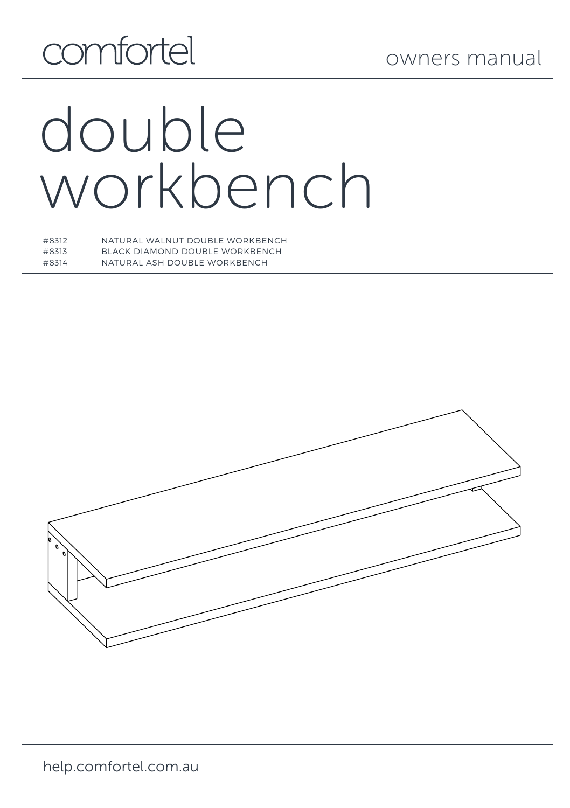## comfortel

# double workbench

| #8312 | NATURAL WALNUT DOUBLE WORKBENCH |
|-------|---------------------------------|
| #8313 | BLACK DIAMOND DOUBLE WORKBENCH  |
| #8314 | NATURAL ASH DOURLE WORKRENCH    |

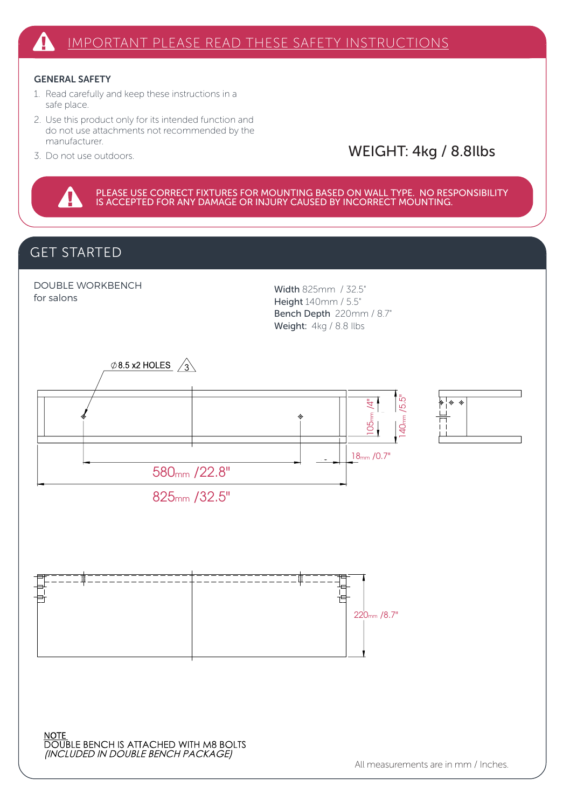#### GENERAL SAFETY

- 1. Read carefully and keep these instructions in a safe place.
- 2. Use this product only for its intended function and do not use attachments not recommended by the manufacturer.
- 3. Do not use outdoors.

#### WEIGHT: 4kg / 8.8Ilbs

PLEASE USE CORRECT FIXTURES FOR MOUNTING BASED ON WALL TYPE. NO RESPONSIBILITY<br>IS ACCEPTED FOR ANY DAMAGE OR INJURY CAUSED BY INCORRECT MOUNTING.

#### GET STARTED

4

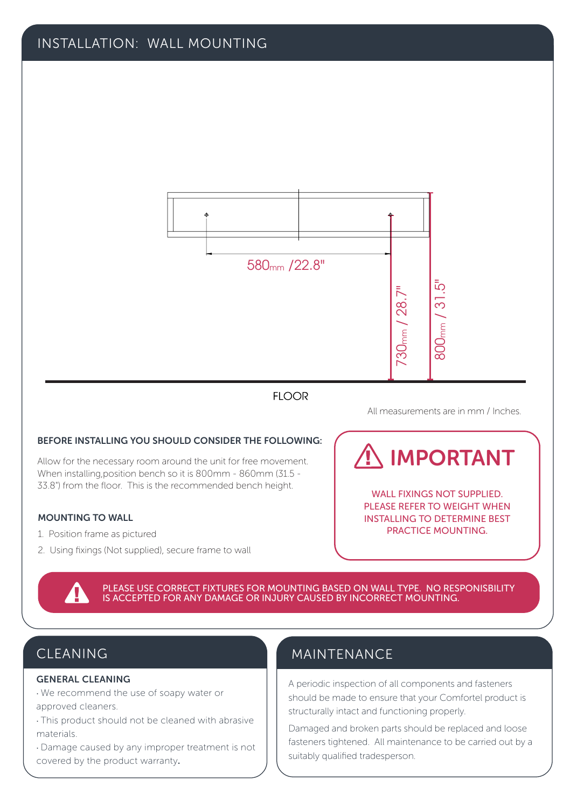#### INSTALLATION: WALL MOUNTING



#### All measurements are in mm / Inches.

#### BEFORE INSTALLING YOU SHOULD CONSIDER THE FOLLOWING:

Allow for the necessary room around the unit for free movement. When installing,position bench so it is 800mm - 860mm (31.5 - 33.8") from the floor. This is the recommended bench height. WALL FIXINGS NOT SUPPLIED

#### MOUNTING TO WALL

- 1. Position frame as pictured
- 2. Using fixings (Not supplied), secure frame to wall

## IMPORTANT

PLEASE REFER TO WEIGHT WHEN INSTALLING TO DETERMINE BEST PRACTICE MOUNTING.

PLEASE USE CORRECT FIXTURES FOR MOUNTING BASED ON WALL TYPE. NO RESPONISBILITY<br>IS ACCEPTED FOR ANY DAMAGE OR INJURY CAUSED BY INCORRECT MOUNTING.

### CLEANING

#### GENERAL CLEANING

- · We recommend the use of soapy water or approved cleaners.
- · This product should not be cleaned with abrasive materials.
- · Damage caused by any improper treatment is not covered by the product warranty.

#### MAINTENANCE

A periodic inspection of all components and fasteners should be made to ensure that your Comfortel product is structurally intact and functioning properly.

Damaged and broken parts should be replaced and loose fasteners tightened. All maintenance to be carried out by a suitably qualified tradesperson.